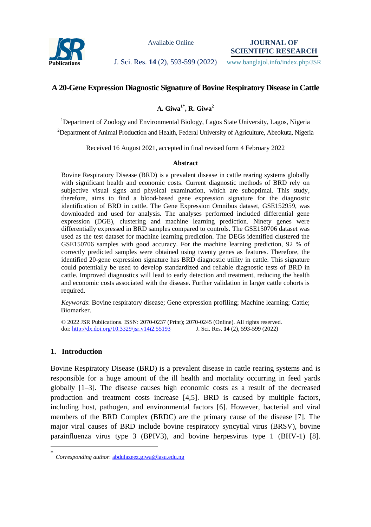

Available Online

**JOURNAL OF SCIENTIFIC RESEARCH**

### **Publications J. Sci. Res. 14** (2), 593-599 (2022) www.banglajol.info/index.php/JSR

# **A 20-Gene Expression Diagnostic Signature of Bovine Respiratory Disease in Cattle**

## **A. Giwa1\* , R. Giwa<sup>2</sup>**

<sup>1</sup>Department of Zoology and Environmental Biology, Lagos State University, Lagos, Nigeria <sup>2</sup>Department of Animal Production and Health, Federal University of Agriculture, Abeokuta, Nigeria

Received 16 August 2021, accepted in final revised form 4 February 2022

### **Abstract**

Bovine Respiratory Disease (BRD) is a prevalent disease in cattle rearing systems globally with significant health and economic costs. Current diagnostic methods of BRD rely on subjective visual signs and physical examination, which are suboptimal. This study, therefore, aims to find a blood-based gene expression signature for the diagnostic identification of BRD in cattle. The Gene Expression Omnibus dataset, GSE152959, was downloaded and used for analysis. The analyses performed included differential gene expression (DGE), clustering and machine learning prediction. Ninety genes were differentially expressed in BRD samples compared to controls. The GSE150706 dataset was used as the test dataset for machine learning prediction. The DEGs identified clustered the GSE150706 samples with good accuracy. For the machine learning prediction, 92 % of correctly predicted samples were obtained using twenty genes as features. Therefore, the identified 20-gene expression signature has BRD diagnostic utility in cattle. This signature could potentially be used to develop standardized and reliable diagnostic tests of BRD in cattle. Improved diagnostics will lead to early detection and treatment, reducing the health and economic costs associated with the disease. Further validation in larger cattle cohorts is required.

*Keywords*: Bovine respiratory disease; Gene expression profiling; Machine learning; Cattle; Biomarker.

© 2022 JSR Publications. ISSN: 2070-0237 (Print); 2070-0245 (Online). All rights reserved. doi:<http://dx.doi.org/10.3329/jsr.v14i2.55193>J. Sci. Res. **14** (2), 593-599 (2022)

### **1. Introduction**

 $\overline{a}$ 

Bovine Respiratory Disease (BRD) is a prevalent disease in cattle rearing systems and is responsible for a huge amount of the ill health and mortality occurring in feed yards globally [1–3]. The disease causes high economic costs as a result of the decreased production and treatment costs increase [4,5]. BRD is caused by multiple factors, including host, pathogen, and environmental factors [6]. However, bacterial and viral members of the BRD Complex (BRDC) are the primary cause of the disease [7]. The major viral causes of BRD include bovine respiratory syncytial virus (BRSV), bovine parainfluenza virus type 3 (BPIV3), and bovine herpesvirus type 1 (BHV-1) [8].

<sup>\*</sup> *Corresponding author*[: abdulazeez.giwa@lasu.edu.ng](mailto:abdulazeez.giwa@lasu.edu.ng)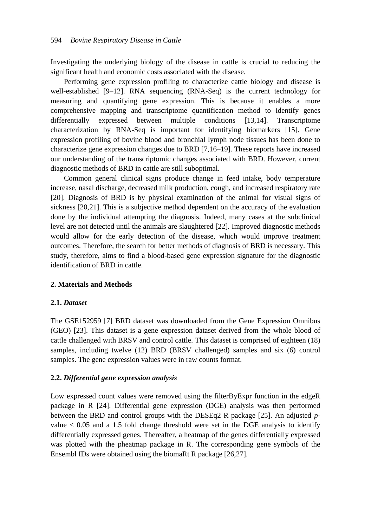Investigating the underlying biology of the disease in cattle is crucial to reducing the significant health and economic costs associated with the disease.

Performing gene expression profiling to characterize cattle biology and disease is well-established [9–12]. RNA sequencing (RNA-Seq) is the current technology for measuring and quantifying gene expression. This is because it enables a more comprehensive mapping and transcriptome quantification method to identify genes differentially expressed between multiple conditions [13,14]. Transcriptome characterization by RNA-Seq is important for identifying biomarkers [15]. Gene expression profiling of bovine blood and bronchial lymph node tissues has been done to characterize gene expression changes due to BRD [7,16–19]. These reports have increased our understanding of the transcriptomic changes associated with BRD. However, current diagnostic methods of BRD in cattle are still suboptimal.

Common general clinical signs produce change in feed intake, body temperature increase, nasal discharge, decreased milk production, cough, and increased respiratory rate [20]. Diagnosis of BRD is by physical examination of the animal for visual signs of sickness [20,21]. This is a subjective method dependent on the accuracy of the evaluation done by the individual attempting the diagnosis. Indeed, many cases at the subclinical level are not detected until the animals are slaughtered [22]. Improved diagnostic methods would allow for the early detection of the disease, which would improve treatment outcomes. Therefore, the search for better methods of diagnosis of BRD is necessary. This study, therefore, aims to find a blood-based gene expression signature for the diagnostic identification of BRD in cattle.

### **2. Materials and Methods**

#### **2.1.** *Dataset*

The GSE152959 [7] BRD dataset was downloaded from the Gene Expression Omnibus (GEO) [23]. This dataset is a gene expression dataset derived from the whole blood of cattle challenged with BRSV and control cattle. This dataset is comprised of eighteen (18) samples, including twelve (12) BRD (BRSV challenged) samples and six (6) control samples. The gene expression values were in raw counts format.

### **2.2.** *Differential gene expression analysis*

Low expressed count values were removed using the filterByExpr function in the edgeR package in R [24]. Differential gene expression (DGE) analysis was then performed between the BRD and control groups with the DESEq2 R package [25]. An adjusted *p*value  $< 0.05$  and a 1.5 fold change threshold were set in the DGE analysis to identify differentially expressed genes. Thereafter, a heatmap of the genes differentially expressed was plotted with the pheatmap package in R. The corresponding gene symbols of the Ensembl IDs were obtained using the biomaRt R package [26,27].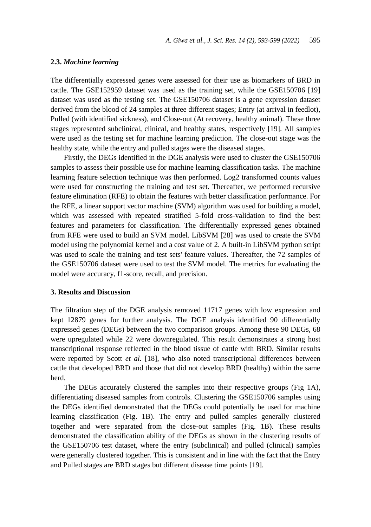#### **2.3.** *Machine learning*

The differentially expressed genes were assessed for their use as biomarkers of BRD in cattle. The GSE152959 dataset was used as the training set, while the GSE150706 [19] dataset was used as the testing set. The GSE150706 dataset is a gene expression dataset derived from the blood of 24 samples at three different stages; Entry (at arrival in feedlot), Pulled (with identified sickness), and Close-out (At recovery, healthy animal). These three stages represented subclinical, clinical, and healthy states, respectively [19]. All samples were used as the testing set for machine learning prediction. The close-out stage was the healthy state, while the entry and pulled stages were the diseased stages.

Firstly, the DEGs identified in the DGE analysis were used to cluster the GSE150706 samples to assess their possible use for machine learning classification tasks. The machine learning feature selection technique was then performed. Log2 transformed counts values were used for constructing the training and test set. Thereafter, we performed recursive feature elimination (RFE) to obtain the features with better classification performance. For the RFE, a linear support vector machine (SVM) algorithm was used for building a model, which was assessed with repeated stratified 5-fold cross-validation to find the best features and parameters for classification. The differentially expressed genes obtained from RFE were used to build an SVM model. LibSVM [28] was used to create the SVM model using the polynomial kernel and a cost value of 2. A built-in LibSVM python script was used to scale the training and test sets' feature values. Thereafter, the 72 samples of the GSE150706 dataset were used to test the SVM model. The metrics for evaluating the model were accuracy, f1-score, recall, and precision.

### **3. Results and Discussion**

The filtration step of the DGE analysis removed 11717 genes with low expression and kept 12879 genes for further analysis. The DGE analysis identified 90 differentially expressed genes (DEGs) between the two comparison groups. Among these 90 DEGs, 68 were upregulated while 22 were downregulated. This result demonstrates a strong host transcriptional response reflected in the blood tissue of cattle with BRD. Similar results were reported by Scott *et al.* [18], who also noted transcriptional differences between cattle that developed BRD and those that did not develop BRD (healthy) within the same herd.

The DEGs accurately clustered the samples into their respective groups (Fig 1A), differentiating diseased samples from controls. Clustering the GSE150706 samples using the DEGs identified demonstrated that the DEGs could potentially be used for machine learning classification (Fig. 1B). The entry and pulled samples generally clustered together and were separated from the close-out samples (Fig. 1B). These results demonstrated the classification ability of the DEGs as shown in the clustering results of the GSE150706 test dataset, where the entry (subclinical) and pulled (clinical) samples were generally clustered together. This is consistent and in line with the fact that the Entry and Pulled stages are BRD stages but different disease time points [19].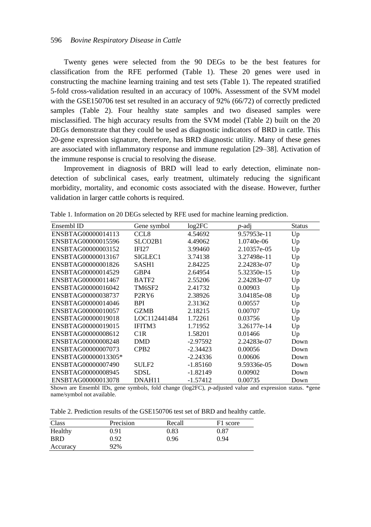Twenty genes were selected from the 90 DEGs to be the best features for classification from the RFE performed (Table 1). These 20 genes were used in constructing the machine learning training and test sets (Table 1). The repeated stratified 5-fold cross-validation resulted in an accuracy of 100%. Assessment of the SVM model with the GSE150706 test set resulted in an accuracy of 92% (66/72) of correctly predicted samples (Table 2). Four healthy state samples and two diseased samples were misclassified. The high accuracy results from the SVM model (Table 2) built on the 20 DEGs demonstrate that they could be used as diagnostic indicators of BRD in cattle. This 20-gene expression signature, therefore, has BRD diagnostic utility. Many of these genes are associated with inflammatory response and immune regulation [29–38]. Activation of the immune response is crucial to resolving the disease.

Improvement in diagnosis of BRD will lead to early detection, eliminate nondetection of subclinical cases, early treatment, ultimately reducing the significant morbidity, mortality, and economic costs associated with the disease. However, further validation in larger cattle cohorts is required.

| Ensembl ID          | Gene symbol                      | log2FC     | <i>p</i> -adj | Status |
|---------------------|----------------------------------|------------|---------------|--------|
| ENSBTAG00000014113  | CCL <sub>8</sub>                 | 4.54692    | 9.57953e-11   | Up     |
| ENSBTAG00000015596  | SLCO <sub>2</sub> B <sub>1</sub> | 4.49062    | 1.0740e-06    | Up     |
| ENSBTAG00000003152  | IFI27                            | 3.99460    | 2.10357e-05   | Up     |
| ENSBTAG00000013167  | SIGLEC1                          | 3.74138    | 3.27498e-11   | Up     |
| ENSBTAG00000001826  | SASH1                            | 2.84225    | 2.24283e-07   | Up     |
| ENSBTAG00000014529  | GBP4                             | 2.64954    | 5.32350e-15   | Up     |
| ENSBTAG00000011467  | BATF <sub>2</sub>                | 2.55206    | 2.24283e-07   | Up     |
| ENSBTAG00000016042  | TM6SF2                           | 2.41732    | 0.00903       | Up     |
| ENSBTAG00000038737  | P <sub>2</sub> RY <sub>6</sub>   | 2.38926    | 3.04185e-08   | Up     |
| ENSBTAG00000014046  | <b>BPI</b>                       | 2.31362    | 0.00557       | Up     |
| ENSBTAG00000010057  | <b>GZMB</b>                      | 2.18215    | 0.00707       | Up     |
| ENSBTAG00000019018  | LOC112441484                     | 1.72261    | 0.03756       | Up     |
| ENSBTAG00000019015  | IFITM3                           | 1.71952    | 3.26177e-14   | Up     |
| ENSBTAG00000008612  | C1R                              | 1.58201    | 0.01466       | Up     |
| ENSBTAG00000008248  | DMD                              | $-2.97592$ | 2.24283e-07   | Down   |
| ENSBTAG00000007073  | CPB <sub>2</sub>                 | $-2.34423$ | 0.00056       | Down   |
| ENSBTAG00000013305* |                                  | $-2.24336$ | 0.00606       | Down   |
| ENSBTAG00000007490  | SULF <sub>2</sub>                | $-1.85160$ | 9.59336e-05   | Down   |
| ENSBTAG00000008945  | <b>SDSL</b>                      | $-1.82149$ | 0.00902       | Down   |
| ENSBTAG00000013078  | DNAH11                           | $-1.57412$ | 0.00735       | Down   |

Table 1. Information on 20 DEGs selected by RFE used for machine learning prediction.

Shown are Ensembl IDs, gene symbols, fold change (log2FC), *p*-adjusted value and expression status. \*gene name/symbol not available.

Table 2. Prediction results of the GSE150706 test set of BRD and healthy cattle.

| Class      | Precision | Recall | F1 score |
|------------|-----------|--------|----------|
| Healthy    | 0.91      | 0.83   | 0.87     |
| <b>BRD</b> | 0.92      | 0.96   | 0.94     |
| Accuracy   | 92%       |        |          |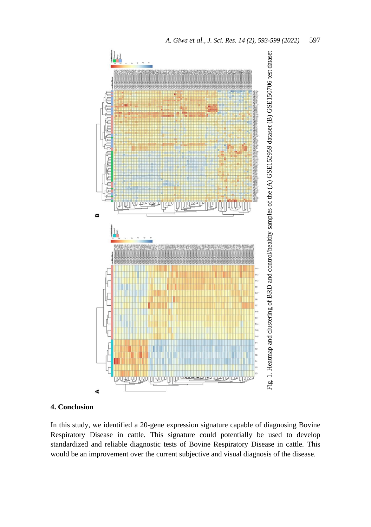

## **4. Conclusion**

In this study, we identified a 20-gene expression signature capable of diagnosing Bovine Respiratory Disease in cattle. This signature could potentially be used to develop standardized and reliable diagnostic tests of Bovine Respiratory Disease in cattle. This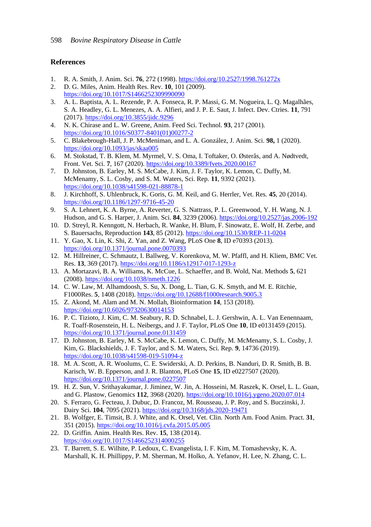### **References**

- 1. R. A. Smith, J. Anim. Sci. **76**, 272 (1998)[. https://doi.org/10.2527/1998.761272x](https://doi.org/10.2527/1998.761272x)
- 2. D. G. Miles, Anim. Health Res. Rev. **10**, 101 (2009). <https://doi.org/10.1017/S1466252309990090>
- 3. A. L. Baptista, A. L. Rezende, P. A. Fonseca, R. P. Massi, G. M. Nogueira, L. Q. Magalhães, S. A. Headley, G. L. Menezes, A. A. Alfieri, and J. P. E. Saut, J. Infect. Dev. Ctries. **11**, 791 (2017)[. https://doi.org/10.3855/jidc.9296](https://doi.org/10.3855/jidc.9296)
- 4. N. K. Chirase and L. W. Greene, Anim. Feed Sci. Technol. **93**, 217 (2001). [https://doi.org/10.1016/S0377-8401\(01\)00277-2](https://doi.org/10.1016/S0377-8401(01)00277-2)
- 5. C. Blakebrough-Hall, J. P. McMeniman, and L. A. González, J. Anim. Sci. **98,** 1 (2020). <https://doi.org/10.1093/jas/skaa005>
- 6. M. Stokstad, T. B. Klem, M. Myrmel, V. S. Oma, I. Toftaker, O. Østerås, and A. Nødtvedt, Front. Vet. Sci. **7**, 167 (2020).<https://doi.org/10.3389/fvets.2020.00167>
- 7. D. Johnston, B. Earley, M. S. McCabe, J. Kim, J. F. Taylor, K. Lemon, C. Duffy, M. McMenamy, S. L. Cosby, and S. M. Waters, Sci. Rep. **11**, 9392 (2021). <https://doi.org/10.1038/s41598-021-88878-1>
- 8. J. Kirchhoff, S. Uhlenbruck, K. Goris, G. M. Keil, and G. Herrler, Vet. Res. **45**, 20 (2014). <https://doi.org/10.1186/1297-9716-45-20>
- 9. S. A. Lehnert, K. A. Byrne, A. Reverter, G. S. Nattrass, P. L. Greenwood, Y. H. Wang, N. J. Hudson, and G. S. Harper, J. Anim. Sci. **84**, 3239 (2006).<https://doi.org/10.2527/jas.2006-192>
- 10. D. Streyl, R. Kenngott, N. Herbach, R. Wanke, H. Blum, F. Sinowatz, E. Wolf, H. Zerbe, and S. Bauersachs, Reproduction **143**, 85 (2012).<https://doi.org/10.1530/REP-11-0204>
- 11. Y. Gao, X. Lin, K. Shi, Z. Yan, and Z. Wang, PLoS One **8**, ID e70393 (2013). <https://doi.org/10.1371/journal.pone.0070393>
- 12. M. Hillreiner, C. Schmautz, I. Ballweg, V. Korenkova, M. W. Pfaffl, and H. Kliem, BMC Vet. Res. **13**, 369 (2017).<https://doi.org/10.1186/s12917-017-1293-z>
- 13. A. Mortazavi, B. A. Williams, K. McCue, L. Schaeffer, and B. Wold, Nat. Methods **5**, 621 (2008). <https://doi.org/10.1038/nmeth.1226>
- 14. C. W. Law, M. Alhamdoosh, S. Su, X. Dong, L. Tian, G. K. Smyth, and M. E. Ritchie, F1000Res. **5**, 1408 (2018).<https://doi.org/10.12688/f1000research.9005.3>
- 15. Z. Akond, M. Alam and M. N. Mollah, Bioinformation **14**, 153 (2018). <https://doi.org/10.6026/97320630014153>
- 16. P. C. Tizioto, J. Kim, C. M. Seabury, R. D. Schnabel, L. J. Gershwin, A. L. Van Eenennaam, R. Toaff-Rosenstein, H. L. Neibergs, and J. F. Taylor, PLoS One **10**, ID e0131459 (2015). <https://doi.org/10.1371/journal.pone.0131459>
- 17. D. Johnston, B. Earley, M. S. McCabe, K. Lemon, C. Duffy, M. McMenamy, S. L. Cosby, J. Kim, G. Blackshields, J. F. Taylor, and S. M. Waters, Sci. Rep. **9**, 14736 (2019). <https://doi.org/10.1038/s41598-019-51094-z>
- 18. M. A. Scott, A. R. Woolums, C. E. Swiderski, A. D. Perkins, B. Nanduri, D. R. Smith, B. B. Karisch, W. B. Epperson, and J. R. Blanton, PLoS One **15**, ID e0227507 (2020). <https://doi.org/10.1371/journal.pone.0227507>
- 19. H. Z. Sun, V. Srithayakumar, J. Jiminez, W. Jin, A. Hosseini, M. Raszek, K. Orsel, L. L. Guan, and G. Plastow, Genomics **112**, 3968 (2020).<https://doi.org/10.1016/j.ygeno.2020.07.014>
- 20. S. Ferraro, G. Fecteau, J. Dubuc, D. Francoz, M. Rousseau, J. P. Roy, and S. Buczinski, J. Dairy Sci. **104**, 7095 (2021)[. https://doi.org/10.3168/jds.2020-19471](https://doi.org/10.3168/jds.2020-19471)
- 21. B. Wolfger, E. Timsit, B. J. White, and K. Orsel, Vet. Clin. North Am. Food Anim. Pract. **31**, 351 (2015)[. https://doi.org/10.1016/j.cvfa.2015.05.005](https://doi.org/10.1016/j.cvfa.2015.05.005)
- 22. D. Griffin. Anim. Health Res. Rev. **15**, 138 (2014). <https://doi.org/10.1017/S1466252314000255>
- 23. T. Barrett, S. E. Wilhite, P. Ledoux, C. Evangelista, I. F. Kim, M. Tomashevsky, K. A. Marshall, K. H. Phillippy, P. M. Sherman, M. Holko, A. Yefanov, H. Lee, N. Zhang, C. L.